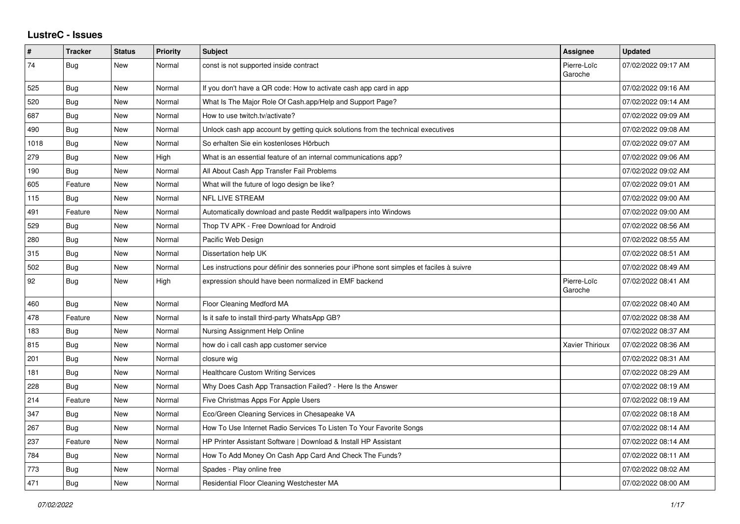## **LustreC - Issues**

| #    | <b>Tracker</b> | <b>Status</b> | <b>Priority</b> | <b>Subject</b>                                                                           | <b>Assignee</b>        | <b>Updated</b>      |
|------|----------------|---------------|-----------------|------------------------------------------------------------------------------------------|------------------------|---------------------|
| 74   | Bug            | <b>New</b>    | Normal          | const is not supported inside contract                                                   | Pierre-Loïc<br>Garoche | 07/02/2022 09:17 AM |
| 525  | Bug            | New           | Normal          | If you don't have a QR code: How to activate cash app card in app                        |                        | 07/02/2022 09:16 AM |
| 520  | Bug            | <b>New</b>    | Normal          | What Is The Major Role Of Cash.app/Help and Support Page?                                |                        | 07/02/2022 09:14 AM |
| 687  | Bug            | <b>New</b>    | Normal          | How to use twitch.tv/activate?                                                           |                        | 07/02/2022 09:09 AM |
| 490  | Bug            | New           | Normal          | Unlock cash app account by getting quick solutions from the technical executives         |                        | 07/02/2022 09:08 AM |
| 1018 | Bug            | New           | Normal          | So erhalten Sie ein kostenloses Hörbuch                                                  |                        | 07/02/2022 09:07 AM |
| 279  | Bug            | <b>New</b>    | High            | What is an essential feature of an internal communications app?                          |                        | 07/02/2022 09:06 AM |
| 190  | Bug            | New           | Normal          | All About Cash App Transfer Fail Problems                                                |                        | 07/02/2022 09:02 AM |
| 605  | Feature        | New           | Normal          | What will the future of logo design be like?                                             |                        | 07/02/2022 09:01 AM |
| 115  | <b>Bug</b>     | <b>New</b>    | Normal          | <b>NFL LIVE STREAM</b>                                                                   |                        | 07/02/2022 09:00 AM |
| 491  | Feature        | New           | Normal          | Automatically download and paste Reddit wallpapers into Windows                          |                        | 07/02/2022 09:00 AM |
| 529  | Bug            | New           | Normal          | Thop TV APK - Free Download for Android                                                  |                        | 07/02/2022 08:56 AM |
| 280  | Bug            | <b>New</b>    | Normal          | Pacific Web Design                                                                       |                        | 07/02/2022 08:55 AM |
| 315  | Bug            | New           | Normal          | Dissertation help UK                                                                     |                        | 07/02/2022 08:51 AM |
| 502  | Bug            | New           | Normal          | Les instructions pour définir des sonneries pour iPhone sont simples et faciles à suivre |                        | 07/02/2022 08:49 AM |
| 92   | Bug            | New           | High            | expression should have been normalized in EMF backend                                    | Pierre-Loïc<br>Garoche | 07/02/2022 08:41 AM |
| 460  | Bug            | New           | Normal          | Floor Cleaning Medford MA                                                                |                        | 07/02/2022 08:40 AM |
| 478  | Feature        | New           | Normal          | Is it safe to install third-party WhatsApp GB?                                           |                        | 07/02/2022 08:38 AM |
| 183  | Bug            | New           | Normal          | Nursing Assignment Help Online                                                           |                        | 07/02/2022 08:37 AM |
| 815  | Bug            | <b>New</b>    | Normal          | how do i call cash app customer service                                                  | Xavier Thirioux        | 07/02/2022 08:36 AM |
| 201  | Bug            | New           | Normal          | closure wig                                                                              |                        | 07/02/2022 08:31 AM |
| 181  | Bug            | New           | Normal          | <b>Healthcare Custom Writing Services</b>                                                |                        | 07/02/2022 08:29 AM |
| 228  | Bug            | <b>New</b>    | Normal          | Why Does Cash App Transaction Failed? - Here Is the Answer                               |                        | 07/02/2022 08:19 AM |
| 214  | Feature        | New           | Normal          | Five Christmas Apps For Apple Users                                                      |                        | 07/02/2022 08:19 AM |
| 347  | Bug            | New           | Normal          | Eco/Green Cleaning Services in Chesapeake VA                                             |                        | 07/02/2022 08:18 AM |
| 267  | Bug            | <b>New</b>    | Normal          | How To Use Internet Radio Services To Listen To Your Favorite Songs                      |                        | 07/02/2022 08:14 AM |
| 237  | Feature        | New           | Normal          | HP Printer Assistant Software   Download & Install HP Assistant                          |                        | 07/02/2022 08:14 AM |
| 784  | Bug            | New           | Normal          | How To Add Money On Cash App Card And Check The Funds?                                   |                        | 07/02/2022 08:11 AM |
| 773  | Bug            | <b>New</b>    | Normal          | Spades - Play online free                                                                |                        | 07/02/2022 08:02 AM |
| 471  | <b>Bug</b>     | New           | Normal          | <b>Residential Floor Cleaning Westchester MA</b>                                         |                        | 07/02/2022 08:00 AM |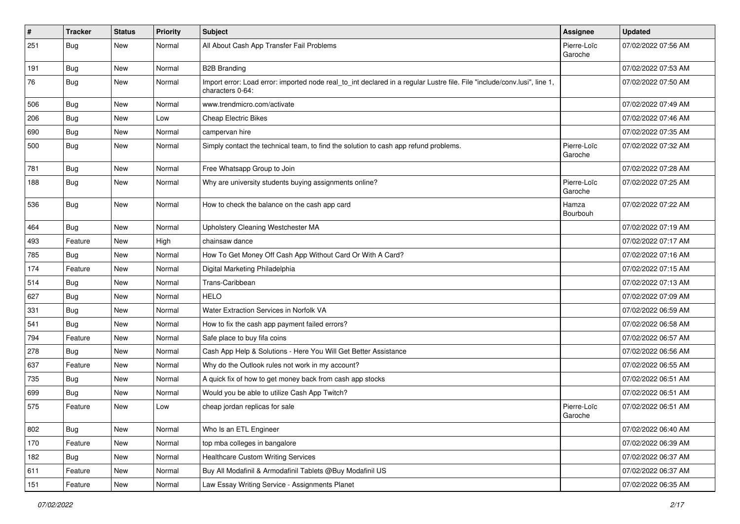| $\pmb{\#}$ | <b>Tracker</b> | <b>Status</b> | Priority | <b>Subject</b>                                                                                                                               | <b>Assignee</b>        | <b>Updated</b>      |
|------------|----------------|---------------|----------|----------------------------------------------------------------------------------------------------------------------------------------------|------------------------|---------------------|
| 251        | <b>Bug</b>     | New           | Normal   | All About Cash App Transfer Fail Problems                                                                                                    | Pierre-Loïc<br>Garoche | 07/02/2022 07:56 AM |
| 191        | Bug            | New           | Normal   | <b>B2B Branding</b>                                                                                                                          |                        | 07/02/2022 07:53 AM |
| 76         | <b>Bug</b>     | New           | Normal   | Import error: Load error: imported node real_to_int declared in a regular Lustre file. File "include/conv.lusi", line 1,<br>characters 0-64: |                        | 07/02/2022 07:50 AM |
| 506        | Bug            | New           | Normal   | www.trendmicro.com/activate                                                                                                                  |                        | 07/02/2022 07:49 AM |
| 206        | Bug            | New           | Low      | <b>Cheap Electric Bikes</b>                                                                                                                  |                        | 07/02/2022 07:46 AM |
| 690        | <b>Bug</b>     | New           | Normal   | campervan hire                                                                                                                               |                        | 07/02/2022 07:35 AM |
| 500        | Bug            | New           | Normal   | Simply contact the technical team, to find the solution to cash app refund problems.                                                         | Pierre-Loïc<br>Garoche | 07/02/2022 07:32 AM |
| 781        | Bug            | New           | Normal   | Free Whatsapp Group to Join                                                                                                                  |                        | 07/02/2022 07:28 AM |
| 188        | <b>Bug</b>     | New           | Normal   | Why are university students buying assignments online?                                                                                       | Pierre-Loïc<br>Garoche | 07/02/2022 07:25 AM |
| 536        | Bug            | New           | Normal   | How to check the balance on the cash app card                                                                                                | Hamza<br>Bourbouh      | 07/02/2022 07:22 AM |
| 464        | Bug            | New           | Normal   | Upholstery Cleaning Westchester MA                                                                                                           |                        | 07/02/2022 07:19 AM |
| 493        | Feature        | New           | High     | chainsaw dance                                                                                                                               |                        | 07/02/2022 07:17 AM |
| 785        | Bug            | New           | Normal   | How To Get Money Off Cash App Without Card Or With A Card?                                                                                   |                        | 07/02/2022 07:16 AM |
| 174        | Feature        | New           | Normal   | Digital Marketing Philadelphia                                                                                                               |                        | 07/02/2022 07:15 AM |
| 514        | Bug            | New           | Normal   | Trans-Caribbean                                                                                                                              |                        | 07/02/2022 07:13 AM |
| 627        | Bug            | New           | Normal   | <b>HELO</b>                                                                                                                                  |                        | 07/02/2022 07:09 AM |
| 331        | <b>Bug</b>     | New           | Normal   | Water Extraction Services in Norfolk VA                                                                                                      |                        | 07/02/2022 06:59 AM |
| 541        | Bug            | New           | Normal   | How to fix the cash app payment failed errors?                                                                                               |                        | 07/02/2022 06:58 AM |
| 794        | Feature        | New           | Normal   | Safe place to buy fifa coins                                                                                                                 |                        | 07/02/2022 06:57 AM |
| 278        | <b>Bug</b>     | New           | Normal   | Cash App Help & Solutions - Here You Will Get Better Assistance                                                                              |                        | 07/02/2022 06:56 AM |
| 637        | Feature        | <b>New</b>    | Normal   | Why do the Outlook rules not work in my account?                                                                                             |                        | 07/02/2022 06:55 AM |
| 735        | Bug            | New           | Normal   | A quick fix of how to get money back from cash app stocks                                                                                    |                        | 07/02/2022 06:51 AM |
| 699        | <b>Bug</b>     | New           | Normal   | Would you be able to utilize Cash App Twitch?                                                                                                |                        | 07/02/2022 06:51 AM |
| 575        | Feature        | New           | Low      | cheap jordan replicas for sale                                                                                                               | Pierre-Loïc<br>Garoche | 07/02/2022 06:51 AM |
| 802        | Bug            | New           | Normal   | Who Is an ETL Engineer                                                                                                                       |                        | 07/02/2022 06:40 AM |
| 170        | Feature        | New           | Normal   | top mba colleges in bangalore                                                                                                                |                        | 07/02/2022 06:39 AM |
| 182        | Bug            | New           | Normal   | <b>Healthcare Custom Writing Services</b>                                                                                                    |                        | 07/02/2022 06:37 AM |
| 611        | Feature        | New           | Normal   | Buy All Modafinil & Armodafinil Tablets @Buy Modafinil US                                                                                    |                        | 07/02/2022 06:37 AM |
| 151        | Feature        | New           | Normal   | Law Essay Writing Service - Assignments Planet                                                                                               |                        | 07/02/2022 06:35 AM |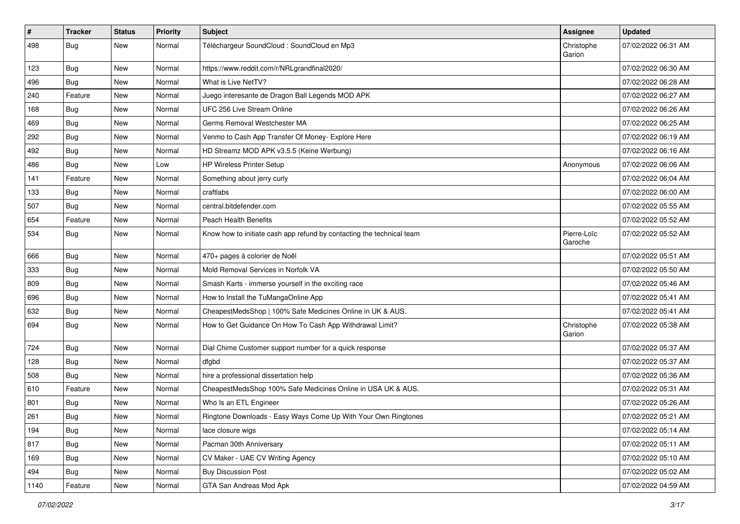| #    | Tracker    | <b>Status</b> | <b>Priority</b> | <b>Subject</b>                                                        | <b>Assignee</b>        | <b>Updated</b>      |
|------|------------|---------------|-----------------|-----------------------------------------------------------------------|------------------------|---------------------|
| 498  | <b>Bug</b> | New           | Normal          | Téléchargeur SoundCloud : SoundCloud en Mp3                           | Christophe<br>Garion   | 07/02/2022 06:31 AM |
| 123  | <b>Bug</b> | New           | Normal          | https://www.reddit.com/r/NRLgrandfinal2020/                           |                        | 07/02/2022 06:30 AM |
| 496  | Bug        | New           | Normal          | What is Live NetTV?                                                   |                        | 07/02/2022 06:28 AM |
| 240  | Feature    | New           | Normal          | Juego interesante de Dragon Ball Legends MOD APK                      |                        | 07/02/2022 06:27 AM |
| 168  | Bug        | New           | Normal          | UFC 256 Live Stream Online                                            |                        | 07/02/2022 06:26 AM |
| 469  | <b>Bug</b> | New           | Normal          | Germs Removal Westchester MA                                          |                        | 07/02/2022 06:25 AM |
| 292  | Bug        | New           | Normal          | Venmo to Cash App Transfer Of Money- Explore Here                     |                        | 07/02/2022 06:19 AM |
| 492  | <b>Bug</b> | New           | Normal          | HD Streamz MOD APK v3.5.5 (Keine Werbung)                             |                        | 07/02/2022 06:16 AM |
| 486  | Bug        | New           | Low             | <b>HP Wireless Printer Setup</b>                                      | Anonymous              | 07/02/2022 06:06 AM |
| 141  | Feature    | New           | Normal          | Something about jerry curly                                           |                        | 07/02/2022 06:04 AM |
| 133  | Bug        | New           | Normal          | craftlabs                                                             |                        | 07/02/2022 06:00 AM |
| 507  | Bug        | New           | Normal          | central.bitdefender.com                                               |                        | 07/02/2022 05:55 AM |
| 654  | Feature    | New           | Normal          | Peach Health Benefits                                                 |                        | 07/02/2022 05:52 AM |
| 534  | Bug        | New           | Normal          | Know how to initiate cash app refund by contacting the technical team | Pierre-Loïc<br>Garoche | 07/02/2022 05:52 AM |
| 666  | Bug        | New           | Normal          | 470+ pages à colorier de Noël                                         |                        | 07/02/2022 05:51 AM |
| 333  | Bug        | New           | Normal          | Mold Removal Services in Norfolk VA                                   |                        | 07/02/2022 05:50 AM |
| 809  | <b>Bug</b> | New           | Normal          | Smash Karts - immerse yourself in the exciting race                   |                        | 07/02/2022 05:46 AM |
| 696  | <b>Bug</b> | New           | Normal          | How to Install the TuMangaOnline App                                  |                        | 07/02/2022 05:41 AM |
| 632  | Bug        | New           | Normal          | CheapestMedsShop   100% Safe Medicines Online in UK & AUS.            |                        | 07/02/2022 05:41 AM |
| 694  | <b>Bug</b> | New           | Normal          | How to Get Guidance On How To Cash App Withdrawal Limit?              | Christophe<br>Garion   | 07/02/2022 05:38 AM |
| 724  | Bug        | New           | Normal          | Dial Chime Customer support number for a quick response               |                        | 07/02/2022 05:37 AM |
| 128  | <b>Bug</b> | New           | Normal          | dfgbd                                                                 |                        | 07/02/2022 05:37 AM |
| 508  | Bug        | New           | Normal          | hire a professional dissertation help                                 |                        | 07/02/2022 05:36 AM |
| 610  | Feature    | New           | Normal          | CheapestMedsShop 100% Safe Medicines Online in USA UK & AUS.          |                        | 07/02/2022 05:31 AM |
| 801  | <b>Bug</b> | New           | Normal          | Who Is an ETL Engineer                                                |                        | 07/02/2022 05:26 AM |
| 261  | Bug        | New           | Normal          | Ringtone Downloads - Easy Ways Come Up With Your Own Ringtones        |                        | 07/02/2022 05:21 AM |
| 194  | Bug        | New           | Normal          | lace closure wigs                                                     |                        | 07/02/2022 05:14 AM |
| 817  | Bug        | New           | Normal          | Pacman 30th Anniversary                                               |                        | 07/02/2022 05:11 AM |
| 169  | <b>Bug</b> | New           | Normal          | CV Maker - UAE CV Writing Agency                                      |                        | 07/02/2022 05:10 AM |
| 494  | Bug        | New           | Normal          | <b>Buy Discussion Post</b>                                            |                        | 07/02/2022 05:02 AM |
| 1140 | Feature    | New           | Normal          | GTA San Andreas Mod Apk                                               |                        | 07/02/2022 04:59 AM |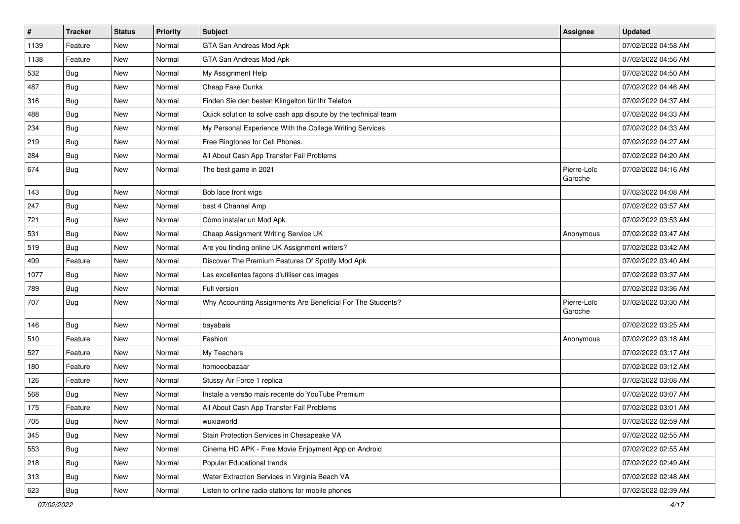| $\sharp$ | <b>Tracker</b> | <b>Status</b> | <b>Priority</b> | Subject                                                        | <b>Assignee</b>        | <b>Updated</b>      |
|----------|----------------|---------------|-----------------|----------------------------------------------------------------|------------------------|---------------------|
| 1139     | Feature        | New           | Normal          | GTA San Andreas Mod Apk                                        |                        | 07/02/2022 04:58 AM |
| 1138     | Feature        | New           | Normal          | GTA San Andreas Mod Apk                                        |                        | 07/02/2022 04:56 AM |
| 532      | Bug            | New           | Normal          | My Assignment Help                                             |                        | 07/02/2022 04:50 AM |
| 487      | Bug            | New           | Normal          | Cheap Fake Dunks                                               |                        | 07/02/2022 04:46 AM |
| 316      | Bug            | New           | Normal          | Finden Sie den besten Klingelton für Ihr Telefon               |                        | 07/02/2022 04:37 AM |
| 488      | Bug            | New           | Normal          | Quick solution to solve cash app dispute by the technical team |                        | 07/02/2022 04:33 AM |
| 234      | Bug            | New           | Normal          | My Personal Experience With the College Writing Services       |                        | 07/02/2022 04:33 AM |
| 219      | Bug            | New           | Normal          | Free Ringtones for Cell Phones.                                |                        | 07/02/2022 04:27 AM |
| 284      | Bug            | New           | Normal          | All About Cash App Transfer Fail Problems                      |                        | 07/02/2022 04:20 AM |
| 674      | Bug            | New           | Normal          | The best game in 2021                                          | Pierre-Loïc<br>Garoche | 07/02/2022 04:16 AM |
| 143      | Bug            | New           | Normal          | Bob lace front wigs                                            |                        | 07/02/2022 04:08 AM |
| 247      | Bug            | New           | Normal          | best 4 Channel Amp                                             |                        | 07/02/2022 03:57 AM |
| 721      | Bug            | New           | Normal          | Cómo instalar un Mod Apk                                       |                        | 07/02/2022 03:53 AM |
| 531      | Bug            | New           | Normal          | Cheap Assignment Writing Service UK                            | Anonymous              | 07/02/2022 03:47 AM |
| 519      | <b>Bug</b>     | New           | Normal          | Are you finding online UK Assignment writers?                  |                        | 07/02/2022 03:42 AM |
| 499      | Feature        | New           | Normal          | Discover The Premium Features Of Spotify Mod Apk               |                        | 07/02/2022 03:40 AM |
| 1077     | Bug            | New           | Normal          | Les excellentes façons d'utiliser ces images                   |                        | 07/02/2022 03:37 AM |
| 789      | <b>Bug</b>     | New           | Normal          | Full version                                                   |                        | 07/02/2022 03:36 AM |
| 707      | Bug            | New           | Normal          | Why Accounting Assignments Are Beneficial For The Students?    | Pierre-Loïc<br>Garoche | 07/02/2022 03:30 AM |
| 146      | Bug            | New           | Normal          | bayabais                                                       |                        | 07/02/2022 03:25 AM |
| 510      | Feature        | New           | Normal          | Fashion                                                        | Anonymous              | 07/02/2022 03:18 AM |
| 527      | Feature        | New           | Normal          | My Teachers                                                    |                        | 07/02/2022 03:17 AM |
| 180      | Feature        | New           | Normal          | homoeobazaar                                                   |                        | 07/02/2022 03:12 AM |
| 126      | Feature        | New           | Normal          | Stussy Air Force 1 replica                                     |                        | 07/02/2022 03:08 AM |
| 568      | <b>Bug</b>     | New           | Normal          | Instale a versão mais recente do YouTube Premium               |                        | 07/02/2022 03:07 AM |
| 175      | Feature        | New           | Normal          | All About Cash App Transfer Fail Problems                      |                        | 07/02/2022 03:01 AM |
| 705      | Bug            | New           | Normal          | wuxiaworld                                                     |                        | 07/02/2022 02:59 AM |
| 345      | Bug            | New           | Normal          | Stain Protection Services in Chesapeake VA                     |                        | 07/02/2022 02:55 AM |
| 553      | Bug            | New           | Normal          | Cinema HD APK - Free Movie Enjoyment App on Android            |                        | 07/02/2022 02:55 AM |
| 218      | <b>Bug</b>     | New           | Normal          | Popular Educational trends                                     |                        | 07/02/2022 02:49 AM |
| 313      | <b>Bug</b>     | New           | Normal          | Water Extraction Services in Virginia Beach VA                 |                        | 07/02/2022 02:48 AM |
| 623      | <b>Bug</b>     | New           | Normal          | Listen to online radio stations for mobile phones              |                        | 07/02/2022 02:39 AM |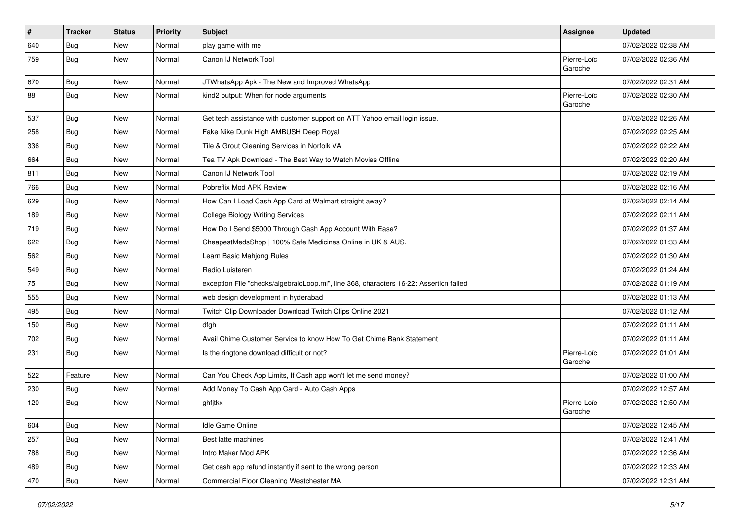| #   | <b>Tracker</b> | <b>Status</b> | Priority | <b>Subject</b>                                                                         | <b>Assignee</b>        | <b>Updated</b>      |
|-----|----------------|---------------|----------|----------------------------------------------------------------------------------------|------------------------|---------------------|
| 640 | <b>Bug</b>     | New           | Normal   | play game with me                                                                      |                        | 07/02/2022 02:38 AM |
| 759 | Bug            | New           | Normal   | Canon IJ Network Tool                                                                  | Pierre-Loïc<br>Garoche | 07/02/2022 02:36 AM |
| 670 | Bug            | New           | Normal   | JTWhatsApp Apk - The New and Improved WhatsApp                                         |                        | 07/02/2022 02:31 AM |
| 88  | Bug            | New           | Normal   | kind2 output: When for node arguments                                                  | Pierre-Loïc<br>Garoche | 07/02/2022 02:30 AM |
| 537 | Bug            | New           | Normal   | Get tech assistance with customer support on ATT Yahoo email login issue.              |                        | 07/02/2022 02:26 AM |
| 258 | Bug            | New           | Normal   | Fake Nike Dunk High AMBUSH Deep Royal                                                  |                        | 07/02/2022 02:25 AM |
| 336 | Bug            | New           | Normal   | Tile & Grout Cleaning Services in Norfolk VA                                           |                        | 07/02/2022 02:22 AM |
| 664 | Bug            | New           | Normal   | Tea TV Apk Download - The Best Way to Watch Movies Offline                             |                        | 07/02/2022 02:20 AM |
| 811 | Bug            | New           | Normal   | Canon IJ Network Tool                                                                  |                        | 07/02/2022 02:19 AM |
| 766 | Bug            | New           | Normal   | Pobreflix Mod APK Review                                                               |                        | 07/02/2022 02:16 AM |
| 629 | Bug            | New           | Normal   | How Can I Load Cash App Card at Walmart straight away?                                 |                        | 07/02/2022 02:14 AM |
| 189 | Bug            | New           | Normal   | <b>College Biology Writing Services</b>                                                |                        | 07/02/2022 02:11 AM |
| 719 | Bug            | New           | Normal   | How Do I Send \$5000 Through Cash App Account With Ease?                               |                        | 07/02/2022 01:37 AM |
| 622 | Bug            | New           | Normal   | CheapestMedsShop   100% Safe Medicines Online in UK & AUS.                             |                        | 07/02/2022 01:33 AM |
| 562 | <b>Bug</b>     | New           | Normal   | Learn Basic Mahjong Rules                                                              |                        | 07/02/2022 01:30 AM |
| 549 | <b>Bug</b>     | New           | Normal   | Radio Luisteren                                                                        |                        | 07/02/2022 01:24 AM |
| 75  | <b>Bug</b>     | New           | Normal   | exception File "checks/algebraicLoop.ml", line 368, characters 16-22: Assertion failed |                        | 07/02/2022 01:19 AM |
| 555 | Bug            | New           | Normal   | web design development in hyderabad                                                    |                        | 07/02/2022 01:13 AM |
| 495 | Bug            | New           | Normal   | Twitch Clip Downloader Download Twitch Clips Online 2021                               |                        | 07/02/2022 01:12 AM |
| 150 | Bug            | New           | Normal   | dfgh                                                                                   |                        | 07/02/2022 01:11 AM |
| 702 | Bug            | New           | Normal   | Avail Chime Customer Service to know How To Get Chime Bank Statement                   |                        | 07/02/2022 01:11 AM |
| 231 | Bug            | New           | Normal   | Is the ringtone download difficult or not?                                             | Pierre-Loïc<br>Garoche | 07/02/2022 01:01 AM |
| 522 | Feature        | New           | Normal   | Can You Check App Limits, If Cash app won't let me send money?                         |                        | 07/02/2022 01:00 AM |
| 230 | Bug            | New           | Normal   | Add Money To Cash App Card - Auto Cash Apps                                            |                        | 07/02/2022 12:57 AM |
| 120 | <b>Bug</b>     | New           | Normal   | ghfjtkx                                                                                | Pierre-Loïc<br>Garoche | 07/02/2022 12:50 AM |
| 604 | <b>Bug</b>     | New           | Normal   | Idle Game Online                                                                       |                        | 07/02/2022 12:45 AM |
| 257 | <b>Bug</b>     | New           | Normal   | Best latte machines                                                                    |                        | 07/02/2022 12:41 AM |
| 788 | Bug            | New           | Normal   | Intro Maker Mod APK                                                                    |                        | 07/02/2022 12:36 AM |
| 489 | Bug            | New           | Normal   | Get cash app refund instantly if sent to the wrong person                              |                        | 07/02/2022 12:33 AM |
| 470 | <b>Bug</b>     | New           | Normal   | Commercial Floor Cleaning Westchester MA                                               |                        | 07/02/2022 12:31 AM |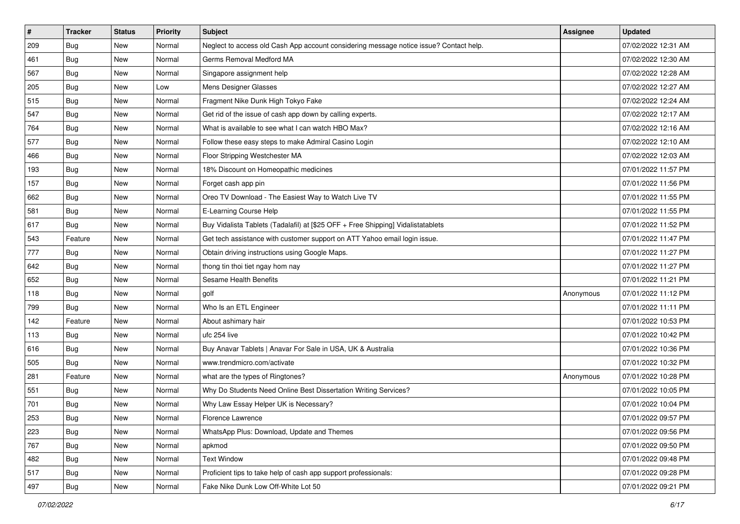| $\vert$ # | <b>Tracker</b> | <b>Status</b> | <b>Priority</b> | <b>Subject</b>                                                                         | Assignee  | <b>Updated</b>      |
|-----------|----------------|---------------|-----------------|----------------------------------------------------------------------------------------|-----------|---------------------|
| 209       | <b>Bug</b>     | New           | Normal          | Neglect to access old Cash App account considering message notice issue? Contact help. |           | 07/02/2022 12:31 AM |
| 461       | Bug            | New           | Normal          | Germs Removal Medford MA                                                               |           | 07/02/2022 12:30 AM |
| 567       | Bug            | New           | Normal          | Singapore assignment help                                                              |           | 07/02/2022 12:28 AM |
| 205       | Bug            | New           | Low             | Mens Designer Glasses                                                                  |           | 07/02/2022 12:27 AM |
| 515       | <b>Bug</b>     | New           | Normal          | Fragment Nike Dunk High Tokyo Fake                                                     |           | 07/02/2022 12:24 AM |
| 547       | Bug            | New           | Normal          | Get rid of the issue of cash app down by calling experts.                              |           | 07/02/2022 12:17 AM |
| 764       | Bug            | New           | Normal          | What is available to see what I can watch HBO Max?                                     |           | 07/02/2022 12:16 AM |
| 577       | Bug            | New           | Normal          | Follow these easy steps to make Admiral Casino Login                                   |           | 07/02/2022 12:10 AM |
| 466       | Bug            | New           | Normal          | Floor Stripping Westchester MA                                                         |           | 07/02/2022 12:03 AM |
| 193       | Bug            | New           | Normal          | 18% Discount on Homeopathic medicines                                                  |           | 07/01/2022 11:57 PM |
| 157       | Bug            | New           | Normal          | Forget cash app pin                                                                    |           | 07/01/2022 11:56 PM |
| 662       | Bug            | New           | Normal          | Oreo TV Download - The Easiest Way to Watch Live TV                                    |           | 07/01/2022 11:55 PM |
| 581       | Bug            | New           | Normal          | E-Learning Course Help                                                                 |           | 07/01/2022 11:55 PM |
| 617       | <b>Bug</b>     | New           | Normal          | Buy Vidalista Tablets (Tadalafil) at [\$25 OFF + Free Shipping] Vidalistatablets       |           | 07/01/2022 11:52 PM |
| 543       | Feature        | New           | Normal          | Get tech assistance with customer support on ATT Yahoo email login issue.              |           | 07/01/2022 11:47 PM |
| 777       | Bug            | New           | Normal          | Obtain driving instructions using Google Maps.                                         |           | 07/01/2022 11:27 PM |
| 642       | Bug            | New           | Normal          | thong tin thoi tiet ngay hom nay                                                       |           | 07/01/2022 11:27 PM |
| 652       | Bug            | New           | Normal          | Sesame Health Benefits                                                                 |           | 07/01/2022 11:21 PM |
| 118       | <b>Bug</b>     | New           | Normal          | golf                                                                                   | Anonymous | 07/01/2022 11:12 PM |
| 799       | Bug            | New           | Normal          | Who Is an ETL Engineer                                                                 |           | 07/01/2022 11:11 PM |
| 142       | Feature        | New           | Normal          | About ashimary hair                                                                    |           | 07/01/2022 10:53 PM |
| 113       | Bug            | New           | Normal          | ufc 254 live                                                                           |           | 07/01/2022 10:42 PM |
| 616       | Bug            | New           | Normal          | Buy Anavar Tablets   Anavar For Sale in USA, UK & Australia                            |           | 07/01/2022 10:36 PM |
| 505       | Bug            | New           | Normal          | www.trendmicro.com/activate                                                            |           | 07/01/2022 10:32 PM |
| 281       | Feature        | New           | Normal          | what are the types of Ringtones?                                                       | Anonymous | 07/01/2022 10:28 PM |
| 551       | Bug            | New           | Normal          | Why Do Students Need Online Best Dissertation Writing Services?                        |           | 07/01/2022 10:05 PM |
| 701       | <b>Bug</b>     | New           | Normal          | Why Law Essay Helper UK is Necessary?                                                  |           | 07/01/2022 10:04 PM |
| 253       | <b>Bug</b>     | New           | Normal          | Florence Lawrence                                                                      |           | 07/01/2022 09:57 PM |
| 223       | Bug            | New           | Normal          | WhatsApp Plus: Download, Update and Themes                                             |           | 07/01/2022 09:56 PM |
| 767       | Bug            | New           | Normal          | apkmod                                                                                 |           | 07/01/2022 09:50 PM |
| 482       | Bug            | New           | Normal          | <b>Text Window</b>                                                                     |           | 07/01/2022 09:48 PM |
| 517       | <b>Bug</b>     | New           | Normal          | Proficient tips to take help of cash app support professionals:                        |           | 07/01/2022 09:28 PM |
| 497       | <b>Bug</b>     | New           | Normal          | Fake Nike Dunk Low Off-White Lot 50                                                    |           | 07/01/2022 09:21 PM |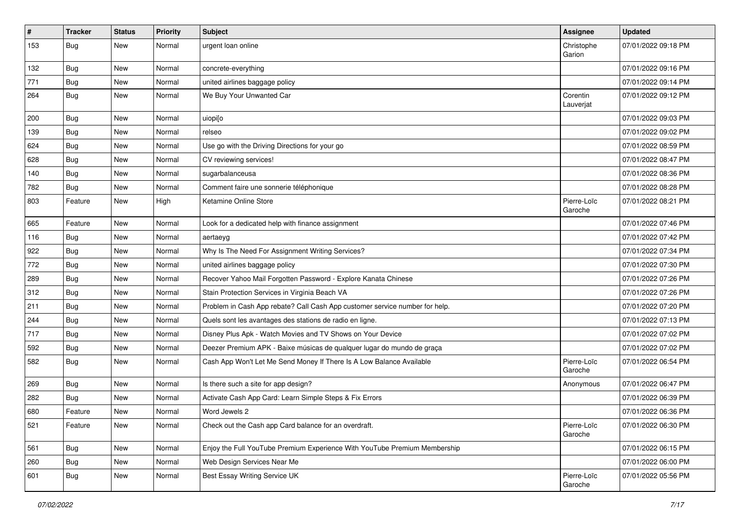| $\sharp$ | <b>Tracker</b> | <b>Status</b> | <b>Priority</b> | <b>Subject</b>                                                              | <b>Assignee</b>        | <b>Updated</b>      |
|----------|----------------|---------------|-----------------|-----------------------------------------------------------------------------|------------------------|---------------------|
| 153      | <b>Bug</b>     | New           | Normal          | urgent loan online                                                          | Christophe<br>Garion   | 07/01/2022 09:18 PM |
| 132      | Bug            | New           | Normal          | concrete-everything                                                         |                        | 07/01/2022 09:16 PM |
| 771      | Bug            | New           | Normal          | united airlines baggage policy                                              |                        | 07/01/2022 09:14 PM |
| 264      | Bug            | New           | Normal          | We Buy Your Unwanted Car                                                    | Corentin<br>Lauverjat  | 07/01/2022 09:12 PM |
| 200      | Bug            | New           | Normal          | uiopi[o                                                                     |                        | 07/01/2022 09:03 PM |
| 139      | Bug            | <b>New</b>    | Normal          | relseo                                                                      |                        | 07/01/2022 09:02 PM |
| 624      | <b>Bug</b>     | New           | Normal          | Use go with the Driving Directions for your go                              |                        | 07/01/2022 08:59 PM |
| 628      | Bug            | New           | Normal          | CV reviewing services!                                                      |                        | 07/01/2022 08:47 PM |
| 140      | Bug            | New           | Normal          | sugarbalanceusa                                                             |                        | 07/01/2022 08:36 PM |
| 782      | Bug            | New           | Normal          | Comment faire une sonnerie téléphonique                                     |                        | 07/01/2022 08:28 PM |
| 803      | Feature        | New           | High            | Ketamine Online Store                                                       | Pierre-Loïc<br>Garoche | 07/01/2022 08:21 PM |
| 665      | Feature        | New           | Normal          | Look for a dedicated help with finance assignment                           |                        | 07/01/2022 07:46 PM |
| 116      | Bug            | New           | Normal          | aertaeyg                                                                    |                        | 07/01/2022 07:42 PM |
| 922      | Bug            | New           | Normal          | Why Is The Need For Assignment Writing Services?                            |                        | 07/01/2022 07:34 PM |
| 772      | Bug            | New           | Normal          | united airlines baggage policy                                              |                        | 07/01/2022 07:30 PM |
| 289      | <b>Bug</b>     | New           | Normal          | Recover Yahoo Mail Forgotten Password - Explore Kanata Chinese              |                        | 07/01/2022 07:26 PM |
| 312      | Bug            | New           | Normal          | Stain Protection Services in Virginia Beach VA                              |                        | 07/01/2022 07:26 PM |
| 211      | Bug            | <b>New</b>    | Normal          | Problem in Cash App rebate? Call Cash App customer service number for help. |                        | 07/01/2022 07:20 PM |
| 244      | Bug            | New           | Normal          | Quels sont les avantages des stations de radio en ligne.                    |                        | 07/01/2022 07:13 PM |
| 717      | <b>Bug</b>     | <b>New</b>    | Normal          | Disney Plus Apk - Watch Movies and TV Shows on Your Device                  |                        | 07/01/2022 07:02 PM |
| 592      | Bug            | New           | Normal          | Deezer Premium APK - Baixe músicas de qualquer lugar do mundo de graça      |                        | 07/01/2022 07:02 PM |
| 582      | Bug            | New           | Normal          | Cash App Won't Let Me Send Money If There Is A Low Balance Available        | Pierre-Loïc<br>Garoche | 07/01/2022 06:54 PM |
| 269      | <b>Bug</b>     | <b>New</b>    | Normal          | Is there such a site for app design?                                        | Anonymous              | 07/01/2022 06:47 PM |
| 282      | Bug            | New           | Normal          | Activate Cash App Card: Learn Simple Steps & Fix Errors                     |                        | 07/01/2022 06:39 PM |
| 680      | Feature        | New           | Normal          | Word Jewels 2                                                               |                        | 07/01/2022 06:36 PM |
| 521      | Feature        | New           | Normal          | Check out the Cash app Card balance for an overdraft.                       | Pierre-Loïc<br>Garoche | 07/01/2022 06:30 PM |
| 561      | Bug            | New           | Normal          | Enjoy the Full YouTube Premium Experience With YouTube Premium Membership   |                        | 07/01/2022 06:15 PM |
| 260      | Bug            | New           | Normal          | Web Design Services Near Me                                                 |                        | 07/01/2022 06:00 PM |
| 601      | Bug            | New           | Normal          | Best Essay Writing Service UK                                               | Pierre-Loïc<br>Garoche | 07/01/2022 05:56 PM |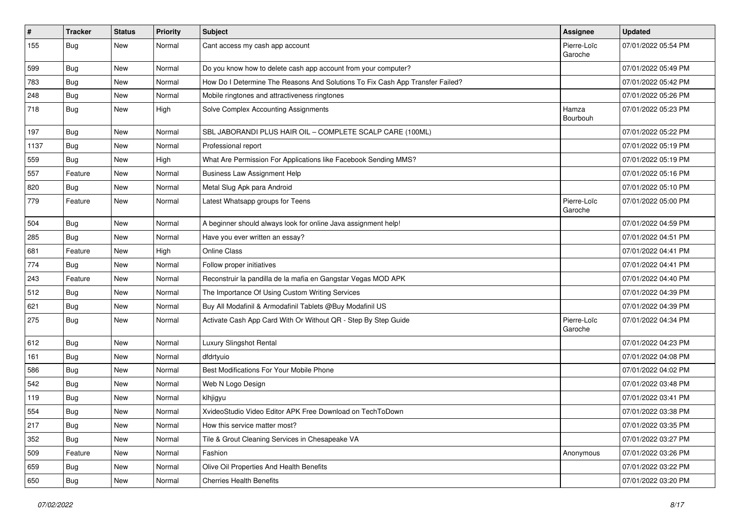| $\vert$ # | <b>Tracker</b> | <b>Status</b> | <b>Priority</b> | <b>Subject</b>                                                                | Assignee               | <b>Updated</b>      |
|-----------|----------------|---------------|-----------------|-------------------------------------------------------------------------------|------------------------|---------------------|
| 155       | <b>Bug</b>     | New           | Normal          | Cant access my cash app account                                               | Pierre-Loïc<br>Garoche | 07/01/2022 05:54 PM |
| 599       | <b>Bug</b>     | New           | Normal          | Do you know how to delete cash app account from your computer?                |                        | 07/01/2022 05:49 PM |
| 783       | Bug            | New           | Normal          | How Do I Determine The Reasons And Solutions To Fix Cash App Transfer Failed? |                        | 07/01/2022 05:42 PM |
| 248       | Bug            | New           | Normal          | Mobile ringtones and attractiveness ringtones                                 |                        | 07/01/2022 05:26 PM |
| 718       | Bug            | New           | High            | Solve Complex Accounting Assignments                                          | Hamza<br>Bourbouh      | 07/01/2022 05:23 PM |
| 197       | Bug            | New           | Normal          | SBL JABORANDI PLUS HAIR OIL - COMPLETE SCALP CARE (100ML)                     |                        | 07/01/2022 05:22 PM |
| 1137      | <b>Bug</b>     | New           | Normal          | Professional report                                                           |                        | 07/01/2022 05:19 PM |
| 559       | <b>Bug</b>     | New           | High            | What Are Permission For Applications like Facebook Sending MMS?               |                        | 07/01/2022 05:19 PM |
| 557       | Feature        | New           | Normal          | <b>Business Law Assignment Help</b>                                           |                        | 07/01/2022 05:16 PM |
| 820       | Bug            | New           | Normal          | Metal Slug Apk para Android                                                   |                        | 07/01/2022 05:10 PM |
| 779       | Feature        | <b>New</b>    | Normal          | Latest Whatsapp groups for Teens                                              | Pierre-Loïc<br>Garoche | 07/01/2022 05:00 PM |
| 504       | Bug            | New           | Normal          | A beginner should always look for online Java assignment help!                |                        | 07/01/2022 04:59 PM |
| 285       | Bug            | New           | Normal          | Have you ever written an essay?                                               |                        | 07/01/2022 04:51 PM |
| 681       | Feature        | <b>New</b>    | High            | <b>Online Class</b>                                                           |                        | 07/01/2022 04:41 PM |
| 774       | Bug            | New           | Normal          | Follow proper initiatives                                                     |                        | 07/01/2022 04:41 PM |
| 243       | Feature        | New           | Normal          | Reconstruir la pandilla de la mafia en Gangstar Vegas MOD APK                 |                        | 07/01/2022 04:40 PM |
| 512       | Bug            | New           | Normal          | The Importance Of Using Custom Writing Services                               |                        | 07/01/2022 04:39 PM |
| 621       | Bug            | New           | Normal          | Buy All Modafinil & Armodafinil Tablets @Buy Modafinil US                     |                        | 07/01/2022 04:39 PM |
| 275       | <b>Bug</b>     | New           | Normal          | Activate Cash App Card With Or Without QR - Step By Step Guide                | Pierre-Loïc<br>Garoche | 07/01/2022 04:34 PM |
| 612       | Bug            | New           | Normal          | Luxury Slingshot Rental                                                       |                        | 07/01/2022 04:23 PM |
| 161       | <b>Bug</b>     | New           | Normal          | dfdrtyuio                                                                     |                        | 07/01/2022 04:08 PM |
| 586       | <b>Bug</b>     | New           | Normal          | Best Modifications For Your Mobile Phone                                      |                        | 07/01/2022 04:02 PM |
| 542       | <b>Bug</b>     | New           | Normal          | Web N Logo Design                                                             |                        | 07/01/2022 03:48 PM |
| 119       | <b>Bug</b>     | New           | Normal          | klhjigyu                                                                      |                        | 07/01/2022 03:41 PM |
| 554       | <b>Bug</b>     | New           | Normal          | XvideoStudio Video Editor APK Free Download on TechToDown                     |                        | 07/01/2022 03:38 PM |
| 217       | Bug            | New           | Normal          | How this service matter most?                                                 |                        | 07/01/2022 03:35 PM |
| 352       | Bug            | New           | Normal          | Tile & Grout Cleaning Services in Chesapeake VA                               |                        | 07/01/2022 03:27 PM |
| 509       | Feature        | New           | Normal          | Fashion                                                                       | Anonymous              | 07/01/2022 03:26 PM |
| 659       | Bug            | New           | Normal          | Olive Oil Properties And Health Benefits                                      |                        | 07/01/2022 03:22 PM |
| 650       | Bug            | New           | Normal          | <b>Cherries Health Benefits</b>                                               |                        | 07/01/2022 03:20 PM |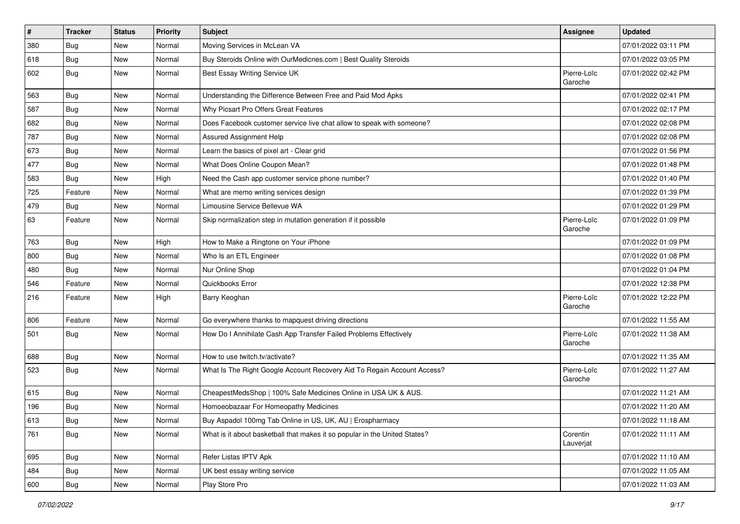| $\pmb{\#}$ | <b>Tracker</b> | <b>Status</b> | Priority | <b>Subject</b>                                                             | <b>Assignee</b>        | <b>Updated</b>      |
|------------|----------------|---------------|----------|----------------------------------------------------------------------------|------------------------|---------------------|
| 380        | <b>Bug</b>     | New           | Normal   | Moving Services in McLean VA                                               |                        | 07/01/2022 03:11 PM |
| 618        | <b>Bug</b>     | New           | Normal   | Buy Steroids Online with OurMedicnes.com   Best Quality Steroids           |                        | 07/01/2022 03:05 PM |
| 602        | Bug            | New           | Normal   | Best Essay Writing Service UK                                              | Pierre-Loïc<br>Garoche | 07/01/2022 02:42 PM |
| 563        | Bug            | New           | Normal   | Understanding the Difference Between Free and Paid Mod Apks                |                        | 07/01/2022 02:41 PM |
| 587        | Bug            | New           | Normal   | Why Picsart Pro Offers Great Features                                      |                        | 07/01/2022 02:17 PM |
| 682        | <b>Bug</b>     | New           | Normal   | Does Facebook customer service live chat allow to speak with someone?      |                        | 07/01/2022 02:08 PM |
| 787        | Bug            | New           | Normal   | <b>Assured Assignment Help</b>                                             |                        | 07/01/2022 02:08 PM |
| 673        | Bug            | New           | Normal   | Learn the basics of pixel art - Clear grid                                 |                        | 07/01/2022 01:56 PM |
| 477        | Bug            | New           | Normal   | What Does Online Coupon Mean?                                              |                        | 07/01/2022 01:48 PM |
| 583        | Bug            | New           | High     | Need the Cash app customer service phone number?                           |                        | 07/01/2022 01:40 PM |
| 725        | Feature        | New           | Normal   | What are memo writing services design                                      |                        | 07/01/2022 01:39 PM |
| 479        | <b>Bug</b>     | New           | Normal   | Limousine Service Bellevue WA                                              |                        | 07/01/2022 01:29 PM |
| 63         | Feature        | New           | Normal   | Skip normalization step in mutation generation if it possible              | Pierre-Loïc<br>Garoche | 07/01/2022 01:09 PM |
| 763        | Bug            | New           | High     | How to Make a Ringtone on Your iPhone                                      |                        | 07/01/2022 01:09 PM |
| 800        | Bug            | New           | Normal   | Who Is an ETL Engineer                                                     |                        | 07/01/2022 01:08 PM |
| 480        | <b>Bug</b>     | New           | Normal   | Nur Online Shop                                                            |                        | 07/01/2022 01:04 PM |
| 546        | Feature        | New           | Normal   | Quickbooks Error                                                           |                        | 07/01/2022 12:38 PM |
| 216        | Feature        | New           | High     | Barry Keoghan                                                              | Pierre-Loïc<br>Garoche | 07/01/2022 12:22 PM |
| 806        | Feature        | New           | Normal   | Go everywhere thanks to mapquest driving directions                        |                        | 07/01/2022 11:55 AM |
| 501        | <b>Bug</b>     | New           | Normal   | How Do I Annihilate Cash App Transfer Failed Problems Effectively          | Pierre-Loïc<br>Garoche | 07/01/2022 11:38 AM |
| 688        | Bug            | New           | Normal   | How to use twitch.tv/activate?                                             |                        | 07/01/2022 11:35 AM |
| 523        | Bug            | New           | Normal   | What Is The Right Google Account Recovery Aid To Regain Account Access?    | Pierre-Loïc<br>Garoche | 07/01/2022 11:27 AM |
| 615        | Bug            | New           | Normal   | CheapestMedsShop   100% Safe Medicines Online in USA UK & AUS.             |                        | 07/01/2022 11:21 AM |
| 196        | Bug            | New           | Normal   | Homoeobazaar For Homeopathy Medicines                                      |                        | 07/01/2022 11:20 AM |
| 613        | Bug            | New           | Normal   | Buy Aspadol 100mg Tab Online in US, UK, AU   Erospharmacy                  |                        | 07/01/2022 11:18 AM |
| 761        | Bug            | New           | Normal   | What is it about basketball that makes it so popular in the United States? | Corentin<br>Lauverjat  | 07/01/2022 11:11 AM |
| 695        | Bug            | New           | Normal   | Refer Listas IPTV Apk                                                      |                        | 07/01/2022 11:10 AM |
| 484        | Bug            | New           | Normal   | UK best essay writing service                                              |                        | 07/01/2022 11:05 AM |
| 600        | <b>Bug</b>     | New           | Normal   | Play Store Pro                                                             |                        | 07/01/2022 11:03 AM |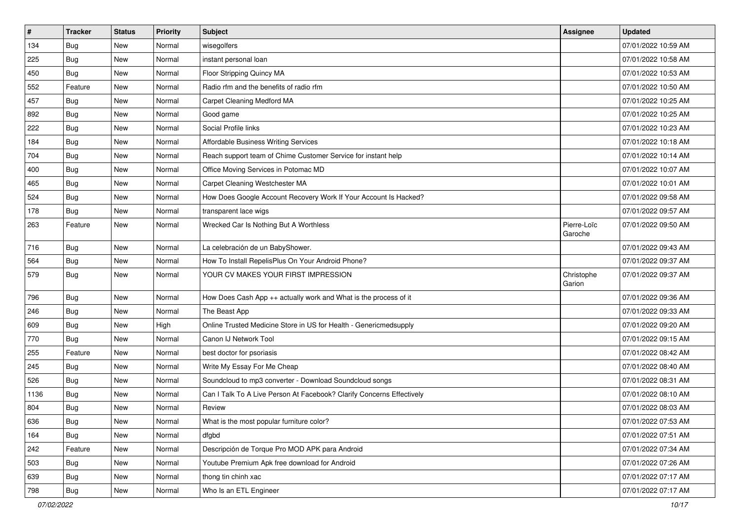| $\sharp$ | <b>Tracker</b> | <b>Status</b> | <b>Priority</b> | Subject                                                               | <b>Assignee</b>        | <b>Updated</b>      |
|----------|----------------|---------------|-----------------|-----------------------------------------------------------------------|------------------------|---------------------|
| 134      | <b>Bug</b>     | New           | Normal          | wisegolfers                                                           |                        | 07/01/2022 10:59 AM |
| 225      | <b>Bug</b>     | New           | Normal          | instant personal loan                                                 |                        | 07/01/2022 10:58 AM |
| 450      | Bug            | New           | Normal          | Floor Stripping Quincy MA                                             |                        | 07/01/2022 10:53 AM |
| 552      | Feature        | New           | Normal          | Radio rfm and the benefits of radio rfm                               |                        | 07/01/2022 10:50 AM |
| 457      | Bug            | New           | Normal          | <b>Carpet Cleaning Medford MA</b>                                     |                        | 07/01/2022 10:25 AM |
| 892      | Bug            | New           | Normal          | Good game                                                             |                        | 07/01/2022 10:25 AM |
| 222      | Bug            | New           | Normal          | Social Profile links                                                  |                        | 07/01/2022 10:23 AM |
| 184      | Bug            | New           | Normal          | Affordable Business Writing Services                                  |                        | 07/01/2022 10:18 AM |
| 704      | Bug            | New           | Normal          | Reach support team of Chime Customer Service for instant help         |                        | 07/01/2022 10:14 AM |
| 400      | Bug            | New           | Normal          | Office Moving Services in Potomac MD                                  |                        | 07/01/2022 10:07 AM |
| 465      | <b>Bug</b>     | New           | Normal          | Carpet Cleaning Westchester MA                                        |                        | 07/01/2022 10:01 AM |
| 524      | Bug            | New           | Normal          | How Does Google Account Recovery Work If Your Account Is Hacked?      |                        | 07/01/2022 09:58 AM |
| 178      | Bug            | New           | Normal          | transparent lace wigs                                                 |                        | 07/01/2022 09:57 AM |
| 263      | Feature        | New           | Normal          | Wrecked Car Is Nothing But A Worthless                                | Pierre-Loïc<br>Garoche | 07/01/2022 09:50 AM |
| 716      | Bug            | New           | Normal          | La celebración de un BabyShower.                                      |                        | 07/01/2022 09:43 AM |
| 564      | <b>Bug</b>     | <b>New</b>    | Normal          | How To Install RepelisPlus On Your Android Phone?                     |                        | 07/01/2022 09:37 AM |
| 579      | Bug            | New           | Normal          | YOUR CV MAKES YOUR FIRST IMPRESSION                                   | Christophe<br>Garion   | 07/01/2022 09:37 AM |
| 796      | Bug            | New           | Normal          | How Does Cash App ++ actually work and What is the process of it      |                        | 07/01/2022 09:36 AM |
| 246      | Bug            | New           | Normal          | The Beast App                                                         |                        | 07/01/2022 09:33 AM |
| 609      | Bug            | New           | High            | Online Trusted Medicine Store in US for Health - Genericmedsupply     |                        | 07/01/2022 09:20 AM |
| 770      | <b>Bug</b>     | New           | Normal          | Canon IJ Network Tool                                                 |                        | 07/01/2022 09:15 AM |
| 255      | Feature        | New           | Normal          | best doctor for psoriasis                                             |                        | 07/01/2022 08:42 AM |
| 245      | Bug            | New           | Normal          | Write My Essay For Me Cheap                                           |                        | 07/01/2022 08:40 AM |
| 526      | Bug            | New           | Normal          | Soundcloud to mp3 converter - Download Soundcloud songs               |                        | 07/01/2022 08:31 AM |
| 1136     | <b>Bug</b>     | New           | Normal          | Can I Talk To A Live Person At Facebook? Clarify Concerns Effectively |                        | 07/01/2022 08:10 AM |
| 804      | <b>Bug</b>     | New           | Normal          | Review                                                                |                        | 07/01/2022 08:03 AM |
| 636      | Bug            | New           | Normal          | What is the most popular furniture color?                             |                        | 07/01/2022 07:53 AM |
| 164      | Bug            | New           | Normal          | dfgbd                                                                 |                        | 07/01/2022 07:51 AM |
| 242      | Feature        | New           | Normal          | Descripción de Torque Pro MOD APK para Android                        |                        | 07/01/2022 07:34 AM |
| 503      | <b>Bug</b>     | New           | Normal          | Youtube Premium Apk free download for Android                         |                        | 07/01/2022 07:26 AM |
| 639      | <b>Bug</b>     | New           | Normal          | thong tin chinh xac                                                   |                        | 07/01/2022 07:17 AM |
| 798      | <b>Bug</b>     | New           | Normal          | Who Is an ETL Engineer                                                |                        | 07/01/2022 07:17 AM |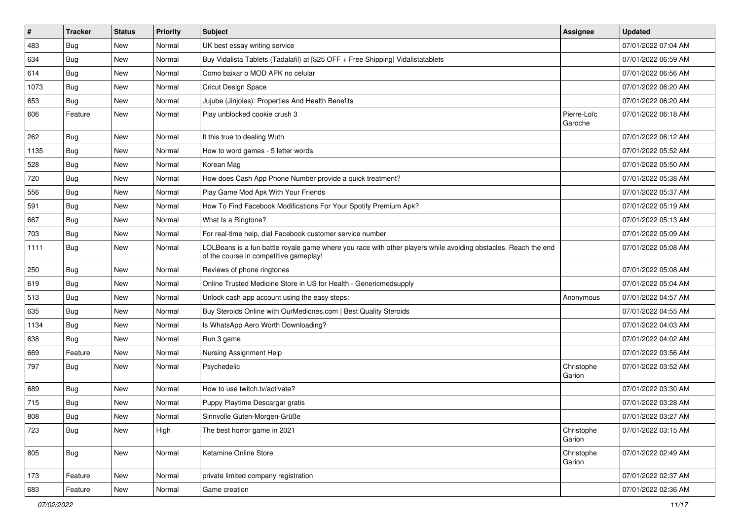| $\vert$ # | <b>Tracker</b> | <b>Status</b> | <b>Priority</b> | <b>Subject</b>                                                                                                                                           | Assignee               | <b>Updated</b>      |
|-----------|----------------|---------------|-----------------|----------------------------------------------------------------------------------------------------------------------------------------------------------|------------------------|---------------------|
| 483       | <b>Bug</b>     | New           | Normal          | UK best essay writing service                                                                                                                            |                        | 07/01/2022 07:04 AM |
| 634       | <b>Bug</b>     | New           | Normal          | Buy Vidalista Tablets (Tadalafil) at [\$25 OFF + Free Shipping] Vidalistatablets                                                                         |                        | 07/01/2022 06:59 AM |
| 614       | <b>Bug</b>     | New           | Normal          | Como baixar o MOD APK no celular                                                                                                                         |                        | 07/01/2022 06:56 AM |
| 1073      | Bug            | New           | Normal          | <b>Cricut Design Space</b>                                                                                                                               |                        | 07/01/2022 06:20 AM |
| 653       | Bug            | New           | Normal          | Jujube (Jinjoles): Properties And Health Benefits                                                                                                        |                        | 07/01/2022 06:20 AM |
| 606       | Feature        | New           | Normal          | Play unblocked cookie crush 3                                                                                                                            | Pierre-Loïc<br>Garoche | 07/01/2022 06:18 AM |
| 262       | Bug            | New           | Normal          | It this true to dealing Wuth                                                                                                                             |                        | 07/01/2022 06:12 AM |
| 1135      | Bug            | New           | Normal          | How to word games - 5 letter words                                                                                                                       |                        | 07/01/2022 05:52 AM |
| 528       | <b>Bug</b>     | New           | Normal          | Korean Mag                                                                                                                                               |                        | 07/01/2022 05:50 AM |
| 720       | <b>Bug</b>     | New           | Normal          | How does Cash App Phone Number provide a quick treatment?                                                                                                |                        | 07/01/2022 05:38 AM |
| 556       | <b>Bug</b>     | New           | Normal          | Play Game Mod Apk With Your Friends                                                                                                                      |                        | 07/01/2022 05:37 AM |
| 591       | Bug            | New           | Normal          | How To Find Facebook Modifications For Your Spotify Premium Apk?                                                                                         |                        | 07/01/2022 05:19 AM |
| 667       | Bug            | New           | Normal          | What Is a Ringtone?                                                                                                                                      |                        | 07/01/2022 05:13 AM |
| 703       | <b>Bug</b>     | New           | Normal          | For real-time help, dial Facebook customer service number                                                                                                |                        | 07/01/2022 05:09 AM |
| 1111      | Bug            | New           | Normal          | LOLBeans is a fun battle royale game where you race with other players while avoiding obstacles. Reach the end<br>of the course in competitive gameplay! |                        | 07/01/2022 05:08 AM |
| 250       | Bug            | New           | Normal          | Reviews of phone ringtones                                                                                                                               |                        | 07/01/2022 05:08 AM |
| 619       | <b>Bug</b>     | New           | Normal          | Online Trusted Medicine Store in US for Health - Genericmedsupply                                                                                        |                        | 07/01/2022 05:04 AM |
| 513       | <b>Bug</b>     | New           | Normal          | Unlock cash app account using the easy steps:                                                                                                            | Anonymous              | 07/01/2022 04:57 AM |
| 635       | Bug            | New           | Normal          | Buy Steroids Online with OurMedicnes.com   Best Quality Steroids                                                                                         |                        | 07/01/2022 04:55 AM |
| 1134      | Bug            | New           | Normal          | Is WhatsApp Aero Worth Downloading?                                                                                                                      |                        | 07/01/2022 04:03 AM |
| 638       | <b>Bug</b>     | New           | Normal          | Run 3 game                                                                                                                                               |                        | 07/01/2022 04:02 AM |
| 669       | Feature        | New           | Normal          | Nursing Assignment Help                                                                                                                                  |                        | 07/01/2022 03:56 AM |
| 797       | <b>Bug</b>     | New           | Normal          | Psychedelic                                                                                                                                              | Christophe<br>Garion   | 07/01/2022 03:52 AM |
| 689       | <b>Bug</b>     | New           | Normal          | How to use twitch.tv/activate?                                                                                                                           |                        | 07/01/2022 03:30 AM |
| 715       | <b>Bug</b>     | New           | Normal          | Puppy Playtime Descargar gratis                                                                                                                          |                        | 07/01/2022 03:28 AM |
| 808       | Bug            | New           | Normal          | Sinnvolle Guten-Morgen-Grüße                                                                                                                             |                        | 07/01/2022 03:27 AM |
| 723       | Bug            | New           | High            | The best horror game in 2021                                                                                                                             | Christophe<br>Garion   | 07/01/2022 03:15 AM |
| 805       | Bug            | New           | Normal          | Ketamine Online Store                                                                                                                                    | Christophe<br>Garion   | 07/01/2022 02:49 AM |
| 173       | Feature        | New           | Normal          | private limited company registration                                                                                                                     |                        | 07/01/2022 02:37 AM |
| 683       | Feature        | New           | Normal          | Game creation                                                                                                                                            |                        | 07/01/2022 02:36 AM |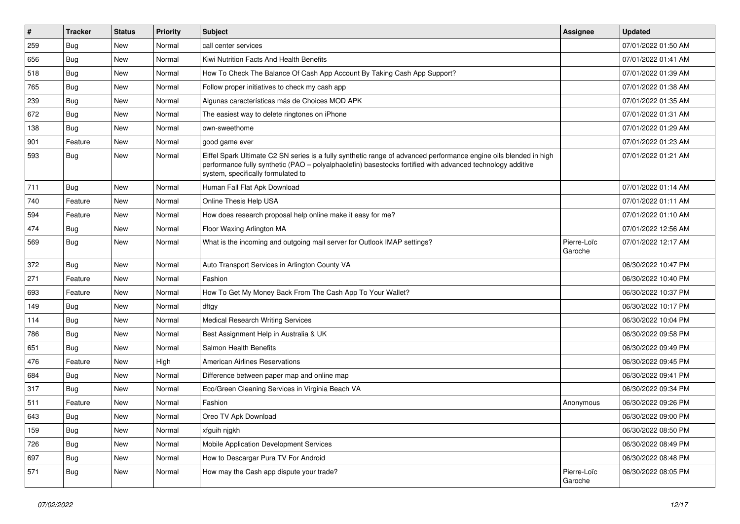| $\vert$ # | <b>Tracker</b> | <b>Status</b> | <b>Priority</b> | <b>Subject</b>                                                                                                                                                                                                                                                        | <b>Assignee</b>        | <b>Updated</b>      |
|-----------|----------------|---------------|-----------------|-----------------------------------------------------------------------------------------------------------------------------------------------------------------------------------------------------------------------------------------------------------------------|------------------------|---------------------|
| 259       | <b>Bug</b>     | New           | Normal          | call center services                                                                                                                                                                                                                                                  |                        | 07/01/2022 01:50 AM |
| 656       | <b>Bug</b>     | New           | Normal          | Kiwi Nutrition Facts And Health Benefits                                                                                                                                                                                                                              |                        | 07/01/2022 01:41 AM |
| 518       | <b>Bug</b>     | New           | Normal          | How To Check The Balance Of Cash App Account By Taking Cash App Support?                                                                                                                                                                                              |                        | 07/01/2022 01:39 AM |
| 765       | <b>Bug</b>     | New           | Normal          | Follow proper initiatives to check my cash app                                                                                                                                                                                                                        |                        | 07/01/2022 01:38 AM |
| 239       | Bug            | New           | Normal          | Algunas características más de Choices MOD APK                                                                                                                                                                                                                        |                        | 07/01/2022 01:35 AM |
| 672       | <b>Bug</b>     | New           | Normal          | The easiest way to delete ringtones on iPhone                                                                                                                                                                                                                         |                        | 07/01/2022 01:31 AM |
| 138       | Bug            | New           | Normal          | own-sweethome                                                                                                                                                                                                                                                         |                        | 07/01/2022 01:29 AM |
| 901       | Feature        | New           | Normal          | good game ever                                                                                                                                                                                                                                                        |                        | 07/01/2022 01:23 AM |
| 593       | Bug            | New           | Normal          | Eiffel Spark Ultimate C2 SN series is a fully synthetic range of advanced performance engine oils blended in high<br>performance fully synthetic (PAO - polyalphaolefin) basestocks fortified with advanced technology additive<br>system, specifically formulated to |                        | 07/01/2022 01:21 AM |
| 711       | <b>Bug</b>     | <b>New</b>    | Normal          | Human Fall Flat Apk Download                                                                                                                                                                                                                                          |                        | 07/01/2022 01:14 AM |
| 740       | Feature        | New           | Normal          | Online Thesis Help USA                                                                                                                                                                                                                                                |                        | 07/01/2022 01:11 AM |
| 594       | Feature        | New           | Normal          | How does research proposal help online make it easy for me?                                                                                                                                                                                                           |                        | 07/01/2022 01:10 AM |
| 474       | <b>Bug</b>     | New           | Normal          | Floor Waxing Arlington MA                                                                                                                                                                                                                                             |                        | 07/01/2022 12:56 AM |
| 569       | <b>Bug</b>     | <b>New</b>    | Normal          | What is the incoming and outgoing mail server for Outlook IMAP settings?                                                                                                                                                                                              | Pierre-Loïc<br>Garoche | 07/01/2022 12:17 AM |
| 372       | <b>Bug</b>     | New           | Normal          | Auto Transport Services in Arlington County VA                                                                                                                                                                                                                        |                        | 06/30/2022 10:47 PM |
| 271       | Feature        | New           | Normal          | Fashion                                                                                                                                                                                                                                                               |                        | 06/30/2022 10:40 PM |
| 693       | Feature        | New           | Normal          | How To Get My Money Back From The Cash App To Your Wallet?                                                                                                                                                                                                            |                        | 06/30/2022 10:37 PM |
| 149       | Bug            | New           | Normal          | dftgy                                                                                                                                                                                                                                                                 |                        | 06/30/2022 10:17 PM |
| 114       | <b>Bug</b>     | New           | Normal          | <b>Medical Research Writing Services</b>                                                                                                                                                                                                                              |                        | 06/30/2022 10:04 PM |
| 786       | <b>Bug</b>     | New           | Normal          | Best Assignment Help in Australia & UK                                                                                                                                                                                                                                |                        | 06/30/2022 09:58 PM |
| 651       | <b>Bug</b>     | New           | Normal          | Salmon Health Benefits                                                                                                                                                                                                                                                |                        | 06/30/2022 09:49 PM |
| 476       | Feature        | New           | High            | <b>American Airlines Reservations</b>                                                                                                                                                                                                                                 |                        | 06/30/2022 09:45 PM |
| 684       | Bug            | New           | Normal          | Difference between paper map and online map                                                                                                                                                                                                                           |                        | 06/30/2022 09:41 PM |
| 317       | <b>Bug</b>     | New           | Normal          | Eco/Green Cleaning Services in Virginia Beach VA                                                                                                                                                                                                                      |                        | 06/30/2022 09:34 PM |
| 511       | Feature        | New           | Normal          | Fashion                                                                                                                                                                                                                                                               | Anonymous              | 06/30/2022 09:26 PM |
| 643       | Bug            | New           | Normal          | Oreo TV Apk Download                                                                                                                                                                                                                                                  |                        | 06/30/2022 09:00 PM |
| 159       | Bug            | New           | Normal          | xfguih njgkh                                                                                                                                                                                                                                                          |                        | 06/30/2022 08:50 PM |
| 726       | Bug            | New           | Normal          | Mobile Application Development Services                                                                                                                                                                                                                               |                        | 06/30/2022 08:49 PM |
| 697       | Bug            | New           | Normal          | How to Descargar Pura TV For Android                                                                                                                                                                                                                                  |                        | 06/30/2022 08:48 PM |
| 571       | <b>Bug</b>     | New           | Normal          | How may the Cash app dispute your trade?                                                                                                                                                                                                                              | Pierre-Loïc<br>Garoche | 06/30/2022 08:05 PM |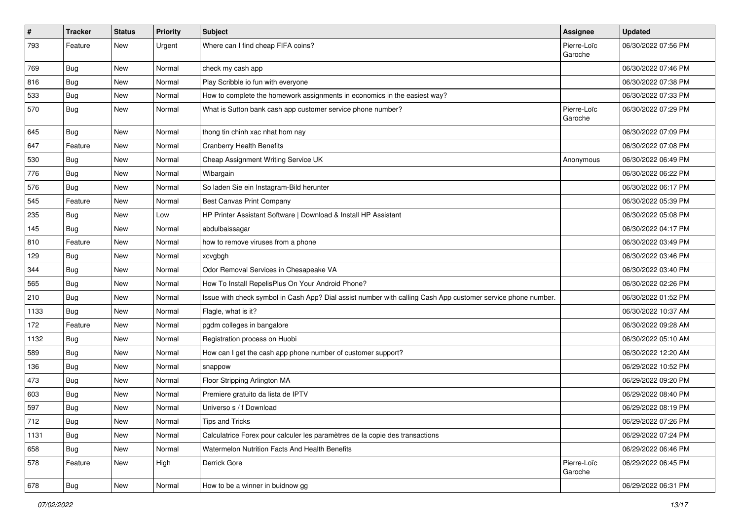| $\sharp$ | <b>Tracker</b> | <b>Status</b> | <b>Priority</b> | <b>Subject</b>                                                                                               | Assignee               | <b>Updated</b>      |
|----------|----------------|---------------|-----------------|--------------------------------------------------------------------------------------------------------------|------------------------|---------------------|
| 793      | Feature        | New           | Urgent          | Where can I find cheap FIFA coins?                                                                           | Pierre-Loïc<br>Garoche | 06/30/2022 07:56 PM |
| 769      | Bug            | New           | Normal          | check my cash app                                                                                            |                        | 06/30/2022 07:46 PM |
| 816      | <b>Bug</b>     | New           | Normal          | Play Scribble io fun with everyone                                                                           |                        | 06/30/2022 07:38 PM |
| 533      | Bug            | <b>New</b>    | Normal          | How to complete the homework assignments in economics in the easiest way?                                    |                        | 06/30/2022 07:33 PM |
| 570      | Bug            | New           | Normal          | What is Sutton bank cash app customer service phone number?                                                  | Pierre-Loïc<br>Garoche | 06/30/2022 07:29 PM |
| 645      | <b>Bug</b>     | <b>New</b>    | Normal          | thong tin chinh xac nhat hom nay                                                                             |                        | 06/30/2022 07:09 PM |
| 647      | Feature        | New           | Normal          | <b>Cranberry Health Benefits</b>                                                                             |                        | 06/30/2022 07:08 PM |
| 530      | Bug            | <b>New</b>    | Normal          | Cheap Assignment Writing Service UK                                                                          | Anonymous              | 06/30/2022 06:49 PM |
| 776      | Bug            | New           | Normal          | Wibargain                                                                                                    |                        | 06/30/2022 06:22 PM |
| 576      | Bug            | New           | Normal          | So laden Sie ein Instagram-Bild herunter                                                                     |                        | 06/30/2022 06:17 PM |
| 545      | Feature        | <b>New</b>    | Normal          | <b>Best Canvas Print Company</b>                                                                             |                        | 06/30/2022 05:39 PM |
| 235      | <b>Bug</b>     | New           | Low             | HP Printer Assistant Software   Download & Install HP Assistant                                              |                        | 06/30/2022 05:08 PM |
| 145      | <b>Bug</b>     | <b>New</b>    | Normal          | abdulbaissagar                                                                                               |                        | 06/30/2022 04:17 PM |
| 810      | Feature        | New           | Normal          | how to remove viruses from a phone                                                                           |                        | 06/30/2022 03:49 PM |
| 129      | <b>Bug</b>     | New           | Normal          | xcvgbgh                                                                                                      |                        | 06/30/2022 03:46 PM |
| 344      | Bug            | <b>New</b>    | Normal          | Odor Removal Services in Chesapeake VA                                                                       |                        | 06/30/2022 03:40 PM |
| 565      | <b>Bug</b>     | New           | Normal          | How To Install RepelisPlus On Your Android Phone?                                                            |                        | 06/30/2022 02:26 PM |
| 210      | Bug            | <b>New</b>    | Normal          | Issue with check symbol in Cash App? Dial assist number with calling Cash App customer service phone number. |                        | 06/30/2022 01:52 PM |
| 1133     | Bug            | New           | Normal          | Flagle, what is it?                                                                                          |                        | 06/30/2022 10:37 AM |
| 172      | Feature        | New           | Normal          | pgdm colleges in bangalore                                                                                   |                        | 06/30/2022 09:28 AM |
| 1132     | Bug            | <b>New</b>    | Normal          | Registration process on Huobi                                                                                |                        | 06/30/2022 05:10 AM |
| 589      | <b>Bug</b>     | New           | Normal          | How can I get the cash app phone number of customer support?                                                 |                        | 06/30/2022 12:20 AM |
| 136      | Bug            | New           | Normal          | snappow                                                                                                      |                        | 06/29/2022 10:52 PM |
| 473      | Bug            | <b>New</b>    | Normal          | Floor Stripping Arlington MA                                                                                 |                        | 06/29/2022 09:20 PM |
| 603      | <b>Bug</b>     | New           | Normal          | Premiere gratuito da lista de IPTV                                                                           |                        | 06/29/2022 08:40 PM |
| 597      | <b>Bug</b>     | <b>New</b>    | Normal          | Universo s / f Download                                                                                      |                        | 06/29/2022 08:19 PM |
| 712      | Bug            | New           | Normal          | <b>Tips and Tricks</b>                                                                                       |                        | 06/29/2022 07:26 PM |
| 1131     | Bug            | New           | Normal          | Calculatrice Forex pour calculer les paramètres de la copie des transactions                                 |                        | 06/29/2022 07:24 PM |
| 658      | Bug            | New           | Normal          | Watermelon Nutrition Facts And Health Benefits                                                               |                        | 06/29/2022 06:46 PM |
| 578      | Feature        | New           | High            | Derrick Gore                                                                                                 | Pierre-Loïc<br>Garoche | 06/29/2022 06:45 PM |
| 678      | <b>Bug</b>     | New           | Normal          | How to be a winner in buidnow gg                                                                             |                        | 06/29/2022 06:31 PM |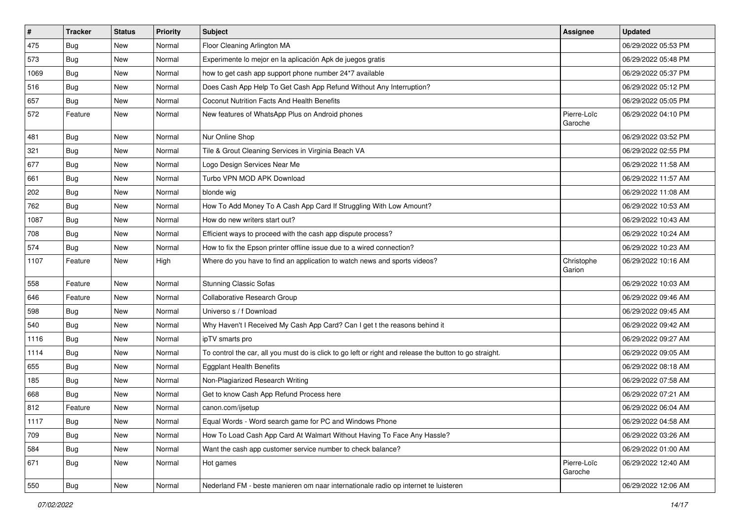| $\vert$ # | <b>Tracker</b> | <b>Status</b> | <b>Priority</b> | <b>Subject</b>                                                                                          | <b>Assignee</b>        | <b>Updated</b>      |
|-----------|----------------|---------------|-----------------|---------------------------------------------------------------------------------------------------------|------------------------|---------------------|
| 475       | <b>Bug</b>     | New           | Normal          | Floor Cleaning Arlington MA                                                                             |                        | 06/29/2022 05:53 PM |
| 573       | Bug            | New           | Normal          | Experimente lo mejor en la aplicación Apk de juegos gratis                                              |                        | 06/29/2022 05:48 PM |
| 1069      | Bug            | New           | Normal          | how to get cash app support phone number 24*7 available                                                 |                        | 06/29/2022 05:37 PM |
| 516       | <b>Bug</b>     | New           | Normal          | Does Cash App Help To Get Cash App Refund Without Any Interruption?                                     |                        | 06/29/2022 05:12 PM |
| 657       | <b>Bug</b>     | New           | Normal          | Coconut Nutrition Facts And Health Benefits                                                             |                        | 06/29/2022 05:05 PM |
| 572       | Feature        | New           | Normal          | New features of WhatsApp Plus on Android phones                                                         | Pierre-Loïc<br>Garoche | 06/29/2022 04:10 PM |
| 481       | Bug            | New           | Normal          | Nur Online Shop                                                                                         |                        | 06/29/2022 03:52 PM |
| 321       | Bug            | New           | Normal          | Tile & Grout Cleaning Services in Virginia Beach VA                                                     |                        | 06/29/2022 02:55 PM |
| 677       | <b>Bug</b>     | <b>New</b>    | Normal          | Logo Design Services Near Me                                                                            |                        | 06/29/2022 11:58 AM |
| 661       | Bug            | New           | Normal          | Turbo VPN MOD APK Download                                                                              |                        | 06/29/2022 11:57 AM |
| 202       | <b>Bug</b>     | New           | Normal          | blonde wig                                                                                              |                        | 06/29/2022 11:08 AM |
| 762       | Bug            | New           | Normal          | How To Add Money To A Cash App Card If Struggling With Low Amount?                                      |                        | 06/29/2022 10:53 AM |
| 1087      | <b>Bug</b>     | New           | Normal          | How do new writers start out?                                                                           |                        | 06/29/2022 10:43 AM |
| 708       | Bug            | New           | Normal          | Efficient ways to proceed with the cash app dispute process?                                            |                        | 06/29/2022 10:24 AM |
| 574       | Bug            | New           | Normal          | How to fix the Epson printer offline issue due to a wired connection?                                   |                        | 06/29/2022 10:23 AM |
| 1107      | Feature        | New           | High            | Where do you have to find an application to watch news and sports videos?                               | Christophe<br>Garion   | 06/29/2022 10:16 AM |
| 558       | Feature        | New           | Normal          | <b>Stunning Classic Sofas</b>                                                                           |                        | 06/29/2022 10:03 AM |
| 646       | Feature        | New           | Normal          | Collaborative Research Group                                                                            |                        | 06/29/2022 09:46 AM |
| 598       | Bug            | New           | Normal          | Universo s / f Download                                                                                 |                        | 06/29/2022 09:45 AM |
| 540       | Bug            | New           | Normal          | Why Haven't I Received My Cash App Card? Can I get t the reasons behind it                              |                        | 06/29/2022 09:42 AM |
| 1116      | Bug            | New           | Normal          | ipTV smarts pro                                                                                         |                        | 06/29/2022 09:27 AM |
| 1114      | Bug            | New           | Normal          | To control the car, all you must do is click to go left or right and release the button to go straight. |                        | 06/29/2022 09:05 AM |
| 655       | <b>Bug</b>     | New           | Normal          | <b>Eggplant Health Benefits</b>                                                                         |                        | 06/29/2022 08:18 AM |
| 185       | Bug            | New           | Normal          | Non-Plagiarized Research Writing                                                                        |                        | 06/29/2022 07:58 AM |
| 668       | <b>Bug</b>     | New           | Normal          | Get to know Cash App Refund Process here                                                                |                        | 06/29/2022 07:21 AM |
| 812       | Feature        | New           | Normal          | canon.com/ijsetup                                                                                       |                        | 06/29/2022 06:04 AM |
| 1117      | Bug            | New           | Normal          | Equal Words - Word search game for PC and Windows Phone                                                 |                        | 06/29/2022 04:58 AM |
| 709       | Bug            | New           | Normal          | How To Load Cash App Card At Walmart Without Having To Face Any Hassle?                                 |                        | 06/29/2022 03:26 AM |
| 584       | Bug            | New           | Normal          | Want the cash app customer service number to check balance?                                             |                        | 06/29/2022 01:00 AM |
| 671       | <b>Bug</b>     | New           | Normal          | Hot games                                                                                               | Pierre-Loïc<br>Garoche | 06/29/2022 12:40 AM |
| 550       | Bug            | New           | Normal          | Nederland FM - beste manieren om naar internationale radio op internet te luisteren                     |                        | 06/29/2022 12:06 AM |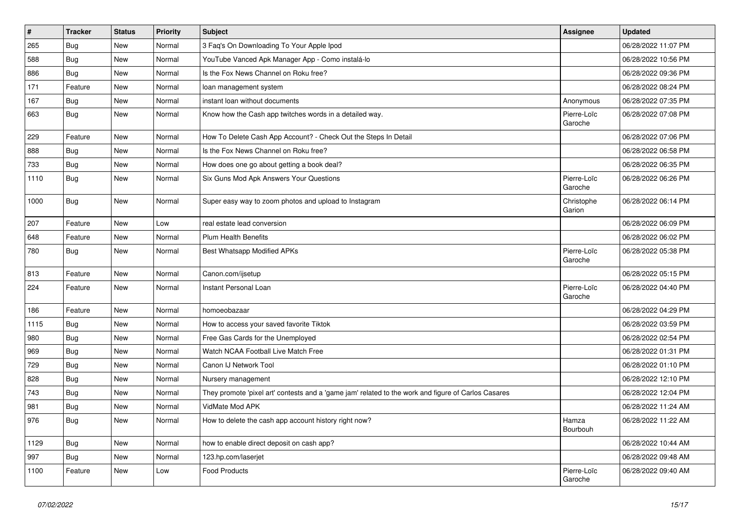| $\vert$ # | <b>Tracker</b> | <b>Status</b> | <b>Priority</b> | <b>Subject</b>                                                                                      | Assignee               | <b>Updated</b>      |
|-----------|----------------|---------------|-----------------|-----------------------------------------------------------------------------------------------------|------------------------|---------------------|
| 265       | <b>Bug</b>     | <b>New</b>    | Normal          | 3 Faq's On Downloading To Your Apple Ipod                                                           |                        | 06/28/2022 11:07 PM |
| 588       | <b>Bug</b>     | <b>New</b>    | Normal          | YouTube Vanced Apk Manager App - Como instalá-lo                                                    |                        | 06/28/2022 10:56 PM |
| 886       | Bug            | New           | Normal          | Is the Fox News Channel on Roku free?                                                               |                        | 06/28/2022 09:36 PM |
| 171       | Feature        | New           | Normal          | loan management system                                                                              |                        | 06/28/2022 08:24 PM |
| 167       | Bug            | New           | Normal          | instant loan without documents                                                                      | Anonymous              | 06/28/2022 07:35 PM |
| 663       | Bug            | New           | Normal          | Know how the Cash app twitches words in a detailed way.                                             | Pierre-Loïc<br>Garoche | 06/28/2022 07:08 PM |
| 229       | Feature        | New           | Normal          | How To Delete Cash App Account? - Check Out the Steps In Detail                                     |                        | 06/28/2022 07:06 PM |
| 888       | Bug            | New           | Normal          | Is the Fox News Channel on Roku free?                                                               |                        | 06/28/2022 06:58 PM |
| 733       | Bug            | New           | Normal          | How does one go about getting a book deal?                                                          |                        | 06/28/2022 06:35 PM |
| 1110      | <b>Bug</b>     | New           | Normal          | Six Guns Mod Apk Answers Your Questions                                                             | Pierre-Loïc<br>Garoche | 06/28/2022 06:26 PM |
| 1000      | <b>Bug</b>     | <b>New</b>    | Normal          | Super easy way to zoom photos and upload to Instagram                                               | Christophe<br>Garion   | 06/28/2022 06:14 PM |
| 207       | Feature        | New           | Low             | real estate lead conversion                                                                         |                        | 06/28/2022 06:09 PM |
| 648       | Feature        | New           | Normal          | <b>Plum Health Benefits</b>                                                                         |                        | 06/28/2022 06:02 PM |
| 780       | Bug            | New           | Normal          | Best Whatsapp Modified APKs                                                                         | Pierre-Loïc<br>Garoche | 06/28/2022 05:38 PM |
| 813       | Feature        | <b>New</b>    | Normal          | Canon.com/ijsetup                                                                                   |                        | 06/28/2022 05:15 PM |
| 224       | Feature        | New           | Normal          | Instant Personal Loan                                                                               | Pierre-Loïc<br>Garoche | 06/28/2022 04:40 PM |
| 186       | Feature        | New           | Normal          | homoeobazaar                                                                                        |                        | 06/28/2022 04:29 PM |
| 1115      | <b>Bug</b>     | New           | Normal          | How to access your saved favorite Tiktok                                                            |                        | 06/28/2022 03:59 PM |
| 980       | Bug            | <b>New</b>    | Normal          | Free Gas Cards for the Unemployed                                                                   |                        | 06/28/2022 02:54 PM |
| 969       | Bug            | New           | Normal          | Watch NCAA Football Live Match Free                                                                 |                        | 06/28/2022 01:31 PM |
| 729       | Bug            | New           | Normal          | Canon IJ Network Tool                                                                               |                        | 06/28/2022 01:10 PM |
| 828       | <b>Bug</b>     | New           | Normal          | Nursery management                                                                                  |                        | 06/28/2022 12:10 PM |
| 743       | <b>Bug</b>     | New           | Normal          | They promote 'pixel art' contests and a 'game jam' related to the work and figure of Carlos Casares |                        | 06/28/2022 12:04 PM |
| 981       | Bug            | New           | Normal          | VidMate Mod APK                                                                                     |                        | 06/28/2022 11:24 AM |
| 976       | Bug            | New           | Normal          | How to delete the cash app account history right now?                                               | Hamza<br>Bourbouh      | 06/28/2022 11:22 AM |
| 1129      | Bug            | New           | Normal          | how to enable direct deposit on cash app?                                                           |                        | 06/28/2022 10:44 AM |
| 997       | Bug            | New           | Normal          | 123.hp.com/laserjet                                                                                 |                        | 06/28/2022 09:48 AM |
| 1100      | Feature        | New           | Low             | <b>Food Products</b>                                                                                | Pierre-Loïc<br>Garoche | 06/28/2022 09:40 AM |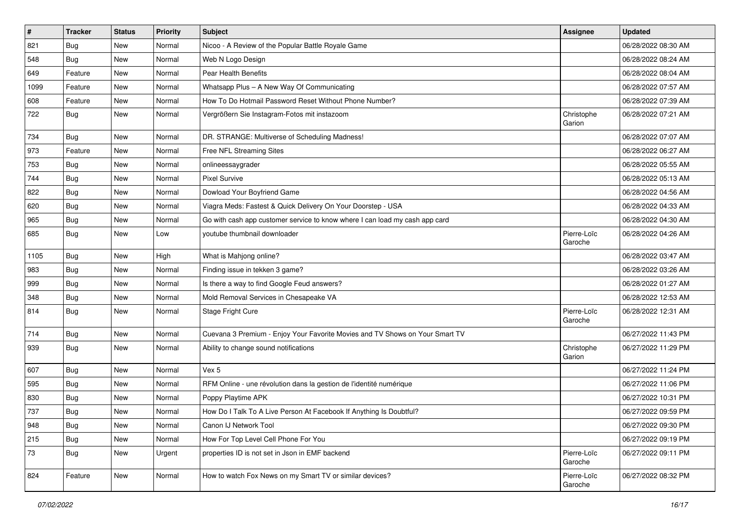| $\pmb{\#}$ | <b>Tracker</b> | <b>Status</b> | Priority | <b>Subject</b>                                                               | Assignee               | <b>Updated</b>      |
|------------|----------------|---------------|----------|------------------------------------------------------------------------------|------------------------|---------------------|
| 821        | Bug            | New           | Normal   | Nicoo - A Review of the Popular Battle Royale Game                           |                        | 06/28/2022 08:30 AM |
| 548        | Bug            | New           | Normal   | Web N Logo Design                                                            |                        | 06/28/2022 08:24 AM |
| 649        | Feature        | New           | Normal   | Pear Health Benefits                                                         |                        | 06/28/2022 08:04 AM |
| 1099       | Feature        | New           | Normal   | Whatsapp Plus - A New Way Of Communicating                                   |                        | 06/28/2022 07:57 AM |
| 608        | Feature        | New           | Normal   | How To Do Hotmail Password Reset Without Phone Number?                       |                        | 06/28/2022 07:39 AM |
| 722        | Bug            | New           | Normal   | Vergrößern Sie Instagram-Fotos mit instazoom                                 | Christophe<br>Garion   | 06/28/2022 07:21 AM |
| 734        | Bug            | New           | Normal   | DR. STRANGE: Multiverse of Scheduling Madness!                               |                        | 06/28/2022 07:07 AM |
| 973        | Feature        | New           | Normal   | Free NFL Streaming Sites                                                     |                        | 06/28/2022 06:27 AM |
| 753        | Bug            | <b>New</b>    | Normal   | onlineessaygrader                                                            |                        | 06/28/2022 05:55 AM |
| 744        | Bug            | New           | Normal   | <b>Pixel Survive</b>                                                         |                        | 06/28/2022 05:13 AM |
| 822        | Bug            | New           | Normal   | Dowload Your Boyfriend Game                                                  |                        | 06/28/2022 04:56 AM |
| 620        | Bug            | New           | Normal   | Viagra Meds: Fastest & Quick Delivery On Your Doorstep - USA                 |                        | 06/28/2022 04:33 AM |
| 965        | Bug            | New           | Normal   | Go with cash app customer service to know where I can load my cash app card  |                        | 06/28/2022 04:30 AM |
| 685        | Bug            | New           | Low      | youtube thumbnail downloader                                                 | Pierre-Loïc<br>Garoche | 06/28/2022 04:26 AM |
| 1105       | Bug            | New           | High     | What is Mahjong online?                                                      |                        | 06/28/2022 03:47 AM |
| 983        | Bug            | New           | Normal   | Finding issue in tekken 3 game?                                              |                        | 06/28/2022 03:26 AM |
| 999        | <b>Bug</b>     | New           | Normal   | Is there a way to find Google Feud answers?                                  |                        | 06/28/2022 01:27 AM |
| 348        | Bug            | New           | Normal   | Mold Removal Services in Chesapeake VA                                       |                        | 06/28/2022 12:53 AM |
| 814        | <b>Bug</b>     | New           | Normal   | Stage Fright Cure                                                            | Pierre-Loïc<br>Garoche | 06/28/2022 12:31 AM |
| 714        | <b>Bug</b>     | New           | Normal   | Cuevana 3 Premium - Enjoy Your Favorite Movies and TV Shows on Your Smart TV |                        | 06/27/2022 11:43 PM |
| 939        | Bug            | New           | Normal   | Ability to change sound notifications                                        | Christophe<br>Garion   | 06/27/2022 11:29 PM |
| 607        | Bug            | New           | Normal   | Vex 5                                                                        |                        | 06/27/2022 11:24 PM |
| 595        | <b>Bug</b>     | New           | Normal   | RFM Online - une révolution dans la gestion de l'identité numérique          |                        | 06/27/2022 11:06 PM |
| 830        | Bug            | New           | Normal   | Poppy Playtime APK                                                           |                        | 06/27/2022 10:31 PM |
| 737        | Bug            | New           | Normal   | How Do I Talk To A Live Person At Facebook If Anything Is Doubtful?          |                        | 06/27/2022 09:59 PM |
| 948        | <b>Bug</b>     | New           | Normal   | Canon IJ Network Tool                                                        |                        | 06/27/2022 09:30 PM |
| 215        | Bug            | New           | Normal   | How For Top Level Cell Phone For You                                         |                        | 06/27/2022 09:19 PM |
| 73         | Bug            | New           | Urgent   | properties ID is not set in Json in EMF backend                              | Pierre-Loïc<br>Garoche | 06/27/2022 09:11 PM |
| 824        | Feature        | New           | Normal   | How to watch Fox News on my Smart TV or similar devices?                     | Pierre-Loïc<br>Garoche | 06/27/2022 08:32 PM |